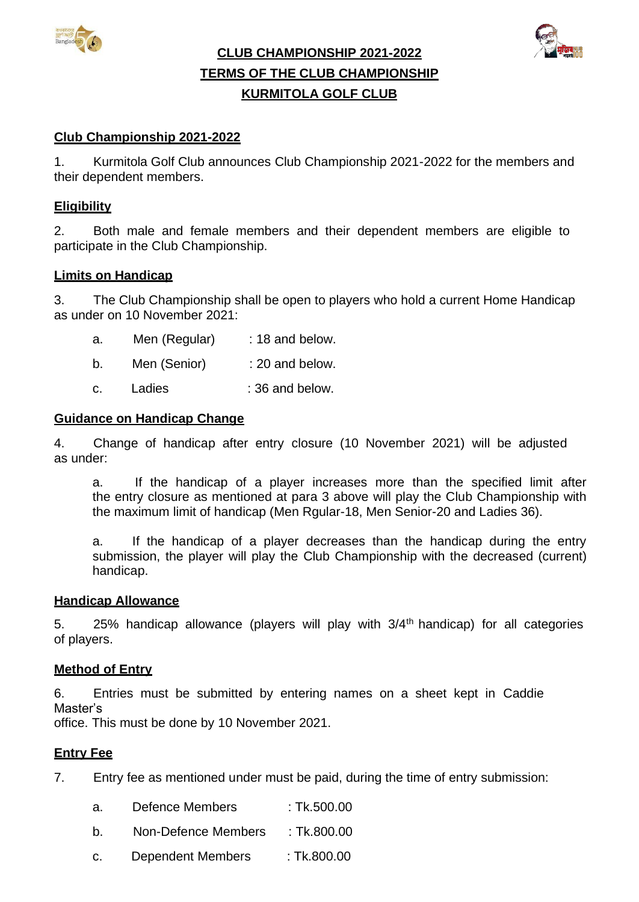



**CLUB CHAMPIONSHIP 2021-2022 TERMS OF THE CLUB CHAMPIONSHIP KURMITOLA GOLF CLUB**

## **Club Championship 2021-2022**

1. Kurmitola Golf Club announces Club Championship 2021-2022 for the members and their dependent members.

## **Eligibility**

2. Both male and female members and their dependent members are eligible to participate in the Club Championship.

#### **Limits on Handicap**

3. The Club Championship shall be open to players who hold a current Home Handicap as under on 10 November 2021:

- a. Men (Regular) : 18 and below.
- b. Men (Senior) : 20 and below.
- c. Ladies : 36 and below.

#### **Guidance on Handicap Change**

4. Change of handicap after entry closure (10 November 2021) will be adjusted as under:

a. If the handicap of a player increases more than the specified limit after the entry closure as mentioned at para 3 above will play the Club Championship with the maximum limit of handicap (Men Rgular-18, Men Senior-20 and Ladies 36).

a. If the handicap of a player decreases than the handicap during the entry submission, the player will play the Club Championship with the decreased (current) handicap.

#### **Handicap Allowance**

5. 25% handicap allowance (players will play with 3/4<sup>th</sup> handicap) for all categories of players.

#### **Method of Entry**

6. Entries must be submitted by entering names on a sheet kept in Caddie Master's

office. This must be done by 10 November 2021.

#### **Entry Fee**

7. Entry fee as mentioned under must be paid, during the time of entry submission:

- a. Defence Members : Tk.500.00
- b. Non-Defence Members : Tk.800.00
- c. Dependent Members : Tk.800.00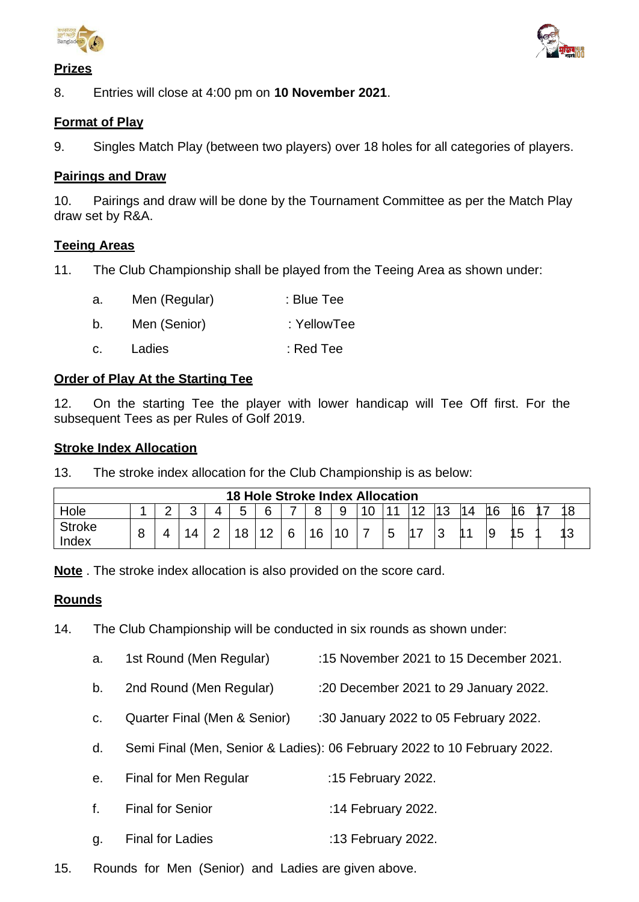

# **Prizes**



8. Entries will close at 4:00 pm on **10 November 2021**.

# **Format of Play**

9. Singles Match Play (between two players) over 18 holes for all categories of players.

## **Pairings and Draw**

10. Pairings and draw will be done by the Tournament Committee as per the Match Play draw set by R&A.

## **Teeing Areas**

11. The Club Championship shall be played from the Teeing Area as shown under:

- a. Men (Regular) : Blue Tee b. Men (Senior) : YellowTee
- c. Ladies : Red Tee

# **Order of Play At the Starting Tee**

12. On the starting Tee the player with lower handicap will Tee Off first. For the subsequent Tees as per Rules of Golf 2019.

## **Stroke Index Allocation**

13. The stroke index allocation for the Club Championship is as below:

| <b>18 Hole Stroke Index Allocation</b> |   |  |  |        |        |                  |   |    |   |                |   |    |          |  |          |    |   |   |
|----------------------------------------|---|--|--|--------|--------|------------------|---|----|---|----------------|---|----|----------|--|----------|----|---|---|
| Hole                                   |   |  |  |        | ς<br>ັ | R                |   | 8  | 9 | $\overline{0}$ |   | ィヘ | 112<br>ٮ |  | ◢⌒<br>16 | "  | — |   |
| <b>Stroke</b><br>Index                 | 8 |  |  | ⌒<br>- | 18     | 10<br>$\epsilon$ | 6 | 16 |   |                | b |    |          |  | g        | 15 |   | N |

**Note** . The stroke index allocation is also provided on the score card.

## **Rounds**

- 14. The Club Championship will be conducted in six rounds as shown under:
	- a. 1st Round (Men Regular) :15 November 2021 to 15 December 2021.
	- b. 2nd Round (Men Regular) :20 December 2021 to 29 January 2022.
	- c. Quarter Final (Men & Senior) :30 January 2022 to 05 February 2022.
	- d. Semi Final (Men, Senior & Ladies): 06 February 2022 to 10 February 2022.
	- e. Final for Men Regular :15 February 2022.
	- f. Final for Senior :14 February 2022.
	- g. Final for Ladies :13 February 2022.
- 15. Rounds for Men (Senior) and Ladies are given above.